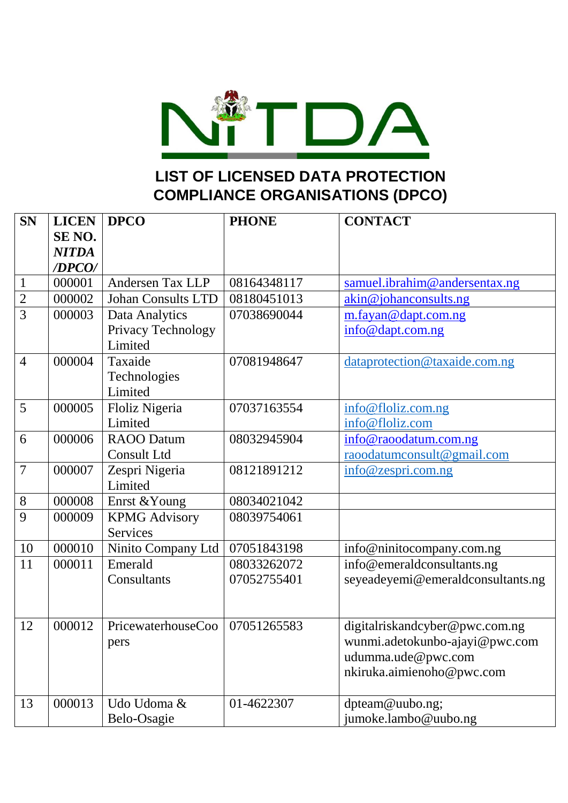

## **LIST OF LICENSED DATA PROTECTION COMPLIANCE ORGANISATIONS (DPCO)**

| <b>SN</b>      | <b>LICEN</b>      | <b>DPCO</b>               | <b>PHONE</b> | <b>CONTACT</b>                    |
|----------------|-------------------|---------------------------|--------------|-----------------------------------|
|                | SE <sub>NO.</sub> |                           |              |                                   |
|                | <b>NITDA</b>      |                           |              |                                   |
|                | /DPCO/            |                           |              |                                   |
| $\mathbf{1}$   | 000001            | Andersen Tax LLP          | 08164348117  | samuel.ibrahim@andersentax.ng     |
| $\overline{2}$ | 000002            | <b>Johan Consults LTD</b> | 08180451013  | akin@johanconsults.ng             |
| $\overline{3}$ | 000003            | Data Analytics            | 07038690044  | m.fayan@dapt.com.ng               |
|                |                   | Privacy Technology        |              | info@dapt.com.ng                  |
|                |                   | Limited                   |              |                                   |
| $\overline{4}$ | 000004            | Taxaide                   | 07081948647  | dataprotection@taxaide.com.ng     |
|                |                   | Technologies              |              |                                   |
|                |                   | Limited                   |              |                                   |
| 5              | 000005            | Floliz Nigeria            | 07037163554  | info@floliz.com.ng                |
|                |                   | Limited                   |              | info@floliz.com                   |
| 6              | 000006            | <b>RAOO</b> Datum         | 08032945904  | info@raoodatum.com.ng             |
|                |                   | <b>Consult Ltd</b>        |              | raoodatumconsult@gmail.com        |
| $\overline{7}$ | 000007            | Zespri Nigeria            | 08121891212  | info@zespri.com.ng                |
|                |                   | Limited                   |              |                                   |
| 8              | 000008            | Enrst & Young             | 08034021042  |                                   |
| 9              | 000009            | <b>KPMG Advisory</b>      | 08039754061  |                                   |
|                |                   | <b>Services</b>           |              |                                   |
| 10             | 000010            | Ninito Company Ltd        | 07051843198  | info@ninitocompany.com.ng         |
| 11             | 000011            | Emerald                   | 08033262072  | info@emeraldconsultants.ng        |
|                |                   | Consultants               | 07052755401  | seyeadeyemi@emeraldconsultants.ng |
|                |                   |                           |              |                                   |
|                |                   |                           |              |                                   |
| 12             | 000012            | PricewaterhouseCoo        | 07051265583  | digitalriskandcyber@pwc.com.ng    |
|                |                   | pers                      |              | wunmi.adetokunbo-ajayi@pwc.com    |
|                |                   |                           |              | udumma.ude@pwc.com                |
|                |                   |                           |              | nkiruka.aimienoho@pwc.com         |
|                |                   |                           |              |                                   |
| 13             | 000013            | Udo Udoma &               | 01-4622307   | dpteam@uubo.ng;                   |
|                |                   | Belo-Osagie               |              | jumoke.lambo@uubo.ng              |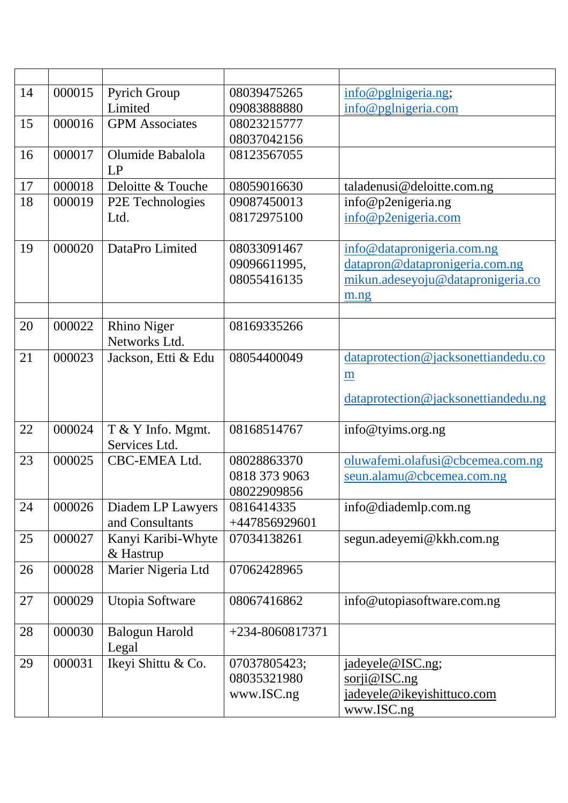| 000015<br>Pyrich Group<br>14<br>08039475265<br>info@pglnigeria.ng;<br>Limited<br>09083888880<br>info@pglnigeria.com<br>15<br>000016<br><b>GPM</b> Associates<br>08023215777<br>08037042156<br>000017<br>16<br>Olumide Babalola<br>08123567055<br>LP<br>000018<br>Deloitte & Touche<br>17<br>08059016630<br>taladenusi@deloitte.com.ng<br>18<br>info@p2enigeria.ng<br>000019<br>P2E Technologies<br>09087450013<br>Ltd.<br>08172975100<br>info@p2enigeria.com<br>19<br>000020<br>DataPro Limited<br>08033091467<br>info@datapronigeria.com.ng<br>datapron@datapronigeria.com.ng<br>09096611995,<br>08055416135<br>mikun.adeseyoju@datapronigeria.co<br>m.ng<br>20<br>000022<br><b>Rhino Niger</b><br>08169335266<br>Networks Ltd.<br>21<br>000023<br>Jackson, Etti & Edu<br>08054400049<br>dataprotection@jacksonettiandedu.co<br>$\underline{m}$<br>dataprotection@jacksonettiandedu.ng<br>22<br>000024<br>T & Y Info. Mgmt.<br>08168514767<br>info@tyims.org.ng<br>Services Ltd.<br>23<br>000025<br>CBC-EMEA Ltd.<br>08028863370<br>oluwafemi.olafusi@cbcemea.com.ng<br>0818 373 9063<br>seun.alamu@cbcemea.com.ng<br>08022909856<br>24<br>000026<br>info@diademlp.com.ng<br>Diadem LP Lawyers<br>0816414335<br>and Consultants<br>+447856929601<br>Kanyi Karibi-Whyte<br>25<br>000027<br>07034138261<br>segun.adeyemi@kkh.com.ng<br>& Hastrup<br>Marier Nigeria Ltd<br>000028<br>26<br>07062428965<br>27<br>000029<br>Utopia Software<br>08067416862<br>info@utopiasoftware.com.ng<br>28<br>000030<br><b>Balogun Harold</b><br>$+234 - 8060817371$<br>Legal<br>000031<br>Ikeyi Shittu & Co.<br>29<br>07037805423;<br>jadeyele@ISC.ng;<br>08035321980<br>$\overline{\text{sori@ISC}.\text{ng}}$<br>www.ISC.ng<br>jadeyele@ikeyishittuco.com |  |  |            |
|----------------------------------------------------------------------------------------------------------------------------------------------------------------------------------------------------------------------------------------------------------------------------------------------------------------------------------------------------------------------------------------------------------------------------------------------------------------------------------------------------------------------------------------------------------------------------------------------------------------------------------------------------------------------------------------------------------------------------------------------------------------------------------------------------------------------------------------------------------------------------------------------------------------------------------------------------------------------------------------------------------------------------------------------------------------------------------------------------------------------------------------------------------------------------------------------------------------------------------------------------------------------------------------------------------------------------------------------------------------------------------------------------------------------------------------------------------------------------------------------------------------------------------------------------------------------------------------------------------------------------------------------------------------------------------------------------------------------------------------------|--|--|------------|
|                                                                                                                                                                                                                                                                                                                                                                                                                                                                                                                                                                                                                                                                                                                                                                                                                                                                                                                                                                                                                                                                                                                                                                                                                                                                                                                                                                                                                                                                                                                                                                                                                                                                                                                                              |  |  |            |
|                                                                                                                                                                                                                                                                                                                                                                                                                                                                                                                                                                                                                                                                                                                                                                                                                                                                                                                                                                                                                                                                                                                                                                                                                                                                                                                                                                                                                                                                                                                                                                                                                                                                                                                                              |  |  |            |
|                                                                                                                                                                                                                                                                                                                                                                                                                                                                                                                                                                                                                                                                                                                                                                                                                                                                                                                                                                                                                                                                                                                                                                                                                                                                                                                                                                                                                                                                                                                                                                                                                                                                                                                                              |  |  |            |
|                                                                                                                                                                                                                                                                                                                                                                                                                                                                                                                                                                                                                                                                                                                                                                                                                                                                                                                                                                                                                                                                                                                                                                                                                                                                                                                                                                                                                                                                                                                                                                                                                                                                                                                                              |  |  |            |
|                                                                                                                                                                                                                                                                                                                                                                                                                                                                                                                                                                                                                                                                                                                                                                                                                                                                                                                                                                                                                                                                                                                                                                                                                                                                                                                                                                                                                                                                                                                                                                                                                                                                                                                                              |  |  |            |
|                                                                                                                                                                                                                                                                                                                                                                                                                                                                                                                                                                                                                                                                                                                                                                                                                                                                                                                                                                                                                                                                                                                                                                                                                                                                                                                                                                                                                                                                                                                                                                                                                                                                                                                                              |  |  |            |
|                                                                                                                                                                                                                                                                                                                                                                                                                                                                                                                                                                                                                                                                                                                                                                                                                                                                                                                                                                                                                                                                                                                                                                                                                                                                                                                                                                                                                                                                                                                                                                                                                                                                                                                                              |  |  |            |
|                                                                                                                                                                                                                                                                                                                                                                                                                                                                                                                                                                                                                                                                                                                                                                                                                                                                                                                                                                                                                                                                                                                                                                                                                                                                                                                                                                                                                                                                                                                                                                                                                                                                                                                                              |  |  |            |
|                                                                                                                                                                                                                                                                                                                                                                                                                                                                                                                                                                                                                                                                                                                                                                                                                                                                                                                                                                                                                                                                                                                                                                                                                                                                                                                                                                                                                                                                                                                                                                                                                                                                                                                                              |  |  |            |
|                                                                                                                                                                                                                                                                                                                                                                                                                                                                                                                                                                                                                                                                                                                                                                                                                                                                                                                                                                                                                                                                                                                                                                                                                                                                                                                                                                                                                                                                                                                                                                                                                                                                                                                                              |  |  |            |
|                                                                                                                                                                                                                                                                                                                                                                                                                                                                                                                                                                                                                                                                                                                                                                                                                                                                                                                                                                                                                                                                                                                                                                                                                                                                                                                                                                                                                                                                                                                                                                                                                                                                                                                                              |  |  |            |
|                                                                                                                                                                                                                                                                                                                                                                                                                                                                                                                                                                                                                                                                                                                                                                                                                                                                                                                                                                                                                                                                                                                                                                                                                                                                                                                                                                                                                                                                                                                                                                                                                                                                                                                                              |  |  |            |
|                                                                                                                                                                                                                                                                                                                                                                                                                                                                                                                                                                                                                                                                                                                                                                                                                                                                                                                                                                                                                                                                                                                                                                                                                                                                                                                                                                                                                                                                                                                                                                                                                                                                                                                                              |  |  |            |
|                                                                                                                                                                                                                                                                                                                                                                                                                                                                                                                                                                                                                                                                                                                                                                                                                                                                                                                                                                                                                                                                                                                                                                                                                                                                                                                                                                                                                                                                                                                                                                                                                                                                                                                                              |  |  |            |
|                                                                                                                                                                                                                                                                                                                                                                                                                                                                                                                                                                                                                                                                                                                                                                                                                                                                                                                                                                                                                                                                                                                                                                                                                                                                                                                                                                                                                                                                                                                                                                                                                                                                                                                                              |  |  |            |
|                                                                                                                                                                                                                                                                                                                                                                                                                                                                                                                                                                                                                                                                                                                                                                                                                                                                                                                                                                                                                                                                                                                                                                                                                                                                                                                                                                                                                                                                                                                                                                                                                                                                                                                                              |  |  |            |
|                                                                                                                                                                                                                                                                                                                                                                                                                                                                                                                                                                                                                                                                                                                                                                                                                                                                                                                                                                                                                                                                                                                                                                                                                                                                                                                                                                                                                                                                                                                                                                                                                                                                                                                                              |  |  |            |
|                                                                                                                                                                                                                                                                                                                                                                                                                                                                                                                                                                                                                                                                                                                                                                                                                                                                                                                                                                                                                                                                                                                                                                                                                                                                                                                                                                                                                                                                                                                                                                                                                                                                                                                                              |  |  |            |
|                                                                                                                                                                                                                                                                                                                                                                                                                                                                                                                                                                                                                                                                                                                                                                                                                                                                                                                                                                                                                                                                                                                                                                                                                                                                                                                                                                                                                                                                                                                                                                                                                                                                                                                                              |  |  |            |
|                                                                                                                                                                                                                                                                                                                                                                                                                                                                                                                                                                                                                                                                                                                                                                                                                                                                                                                                                                                                                                                                                                                                                                                                                                                                                                                                                                                                                                                                                                                                                                                                                                                                                                                                              |  |  |            |
|                                                                                                                                                                                                                                                                                                                                                                                                                                                                                                                                                                                                                                                                                                                                                                                                                                                                                                                                                                                                                                                                                                                                                                                                                                                                                                                                                                                                                                                                                                                                                                                                                                                                                                                                              |  |  |            |
|                                                                                                                                                                                                                                                                                                                                                                                                                                                                                                                                                                                                                                                                                                                                                                                                                                                                                                                                                                                                                                                                                                                                                                                                                                                                                                                                                                                                                                                                                                                                                                                                                                                                                                                                              |  |  |            |
|                                                                                                                                                                                                                                                                                                                                                                                                                                                                                                                                                                                                                                                                                                                                                                                                                                                                                                                                                                                                                                                                                                                                                                                                                                                                                                                                                                                                                                                                                                                                                                                                                                                                                                                                              |  |  |            |
|                                                                                                                                                                                                                                                                                                                                                                                                                                                                                                                                                                                                                                                                                                                                                                                                                                                                                                                                                                                                                                                                                                                                                                                                                                                                                                                                                                                                                                                                                                                                                                                                                                                                                                                                              |  |  |            |
|                                                                                                                                                                                                                                                                                                                                                                                                                                                                                                                                                                                                                                                                                                                                                                                                                                                                                                                                                                                                                                                                                                                                                                                                                                                                                                                                                                                                                                                                                                                                                                                                                                                                                                                                              |  |  |            |
|                                                                                                                                                                                                                                                                                                                                                                                                                                                                                                                                                                                                                                                                                                                                                                                                                                                                                                                                                                                                                                                                                                                                                                                                                                                                                                                                                                                                                                                                                                                                                                                                                                                                                                                                              |  |  |            |
|                                                                                                                                                                                                                                                                                                                                                                                                                                                                                                                                                                                                                                                                                                                                                                                                                                                                                                                                                                                                                                                                                                                                                                                                                                                                                                                                                                                                                                                                                                                                                                                                                                                                                                                                              |  |  |            |
|                                                                                                                                                                                                                                                                                                                                                                                                                                                                                                                                                                                                                                                                                                                                                                                                                                                                                                                                                                                                                                                                                                                                                                                                                                                                                                                                                                                                                                                                                                                                                                                                                                                                                                                                              |  |  |            |
|                                                                                                                                                                                                                                                                                                                                                                                                                                                                                                                                                                                                                                                                                                                                                                                                                                                                                                                                                                                                                                                                                                                                                                                                                                                                                                                                                                                                                                                                                                                                                                                                                                                                                                                                              |  |  |            |
|                                                                                                                                                                                                                                                                                                                                                                                                                                                                                                                                                                                                                                                                                                                                                                                                                                                                                                                                                                                                                                                                                                                                                                                                                                                                                                                                                                                                                                                                                                                                                                                                                                                                                                                                              |  |  |            |
|                                                                                                                                                                                                                                                                                                                                                                                                                                                                                                                                                                                                                                                                                                                                                                                                                                                                                                                                                                                                                                                                                                                                                                                                                                                                                                                                                                                                                                                                                                                                                                                                                                                                                                                                              |  |  |            |
|                                                                                                                                                                                                                                                                                                                                                                                                                                                                                                                                                                                                                                                                                                                                                                                                                                                                                                                                                                                                                                                                                                                                                                                                                                                                                                                                                                                                                                                                                                                                                                                                                                                                                                                                              |  |  |            |
|                                                                                                                                                                                                                                                                                                                                                                                                                                                                                                                                                                                                                                                                                                                                                                                                                                                                                                                                                                                                                                                                                                                                                                                                                                                                                                                                                                                                                                                                                                                                                                                                                                                                                                                                              |  |  |            |
|                                                                                                                                                                                                                                                                                                                                                                                                                                                                                                                                                                                                                                                                                                                                                                                                                                                                                                                                                                                                                                                                                                                                                                                                                                                                                                                                                                                                                                                                                                                                                                                                                                                                                                                                              |  |  |            |
|                                                                                                                                                                                                                                                                                                                                                                                                                                                                                                                                                                                                                                                                                                                                                                                                                                                                                                                                                                                                                                                                                                                                                                                                                                                                                                                                                                                                                                                                                                                                                                                                                                                                                                                                              |  |  |            |
|                                                                                                                                                                                                                                                                                                                                                                                                                                                                                                                                                                                                                                                                                                                                                                                                                                                                                                                                                                                                                                                                                                                                                                                                                                                                                                                                                                                                                                                                                                                                                                                                                                                                                                                                              |  |  |            |
|                                                                                                                                                                                                                                                                                                                                                                                                                                                                                                                                                                                                                                                                                                                                                                                                                                                                                                                                                                                                                                                                                                                                                                                                                                                                                                                                                                                                                                                                                                                                                                                                                                                                                                                                              |  |  |            |
|                                                                                                                                                                                                                                                                                                                                                                                                                                                                                                                                                                                                                                                                                                                                                                                                                                                                                                                                                                                                                                                                                                                                                                                                                                                                                                                                                                                                                                                                                                                                                                                                                                                                                                                                              |  |  |            |
|                                                                                                                                                                                                                                                                                                                                                                                                                                                                                                                                                                                                                                                                                                                                                                                                                                                                                                                                                                                                                                                                                                                                                                                                                                                                                                                                                                                                                                                                                                                                                                                                                                                                                                                                              |  |  | www.ISC.ng |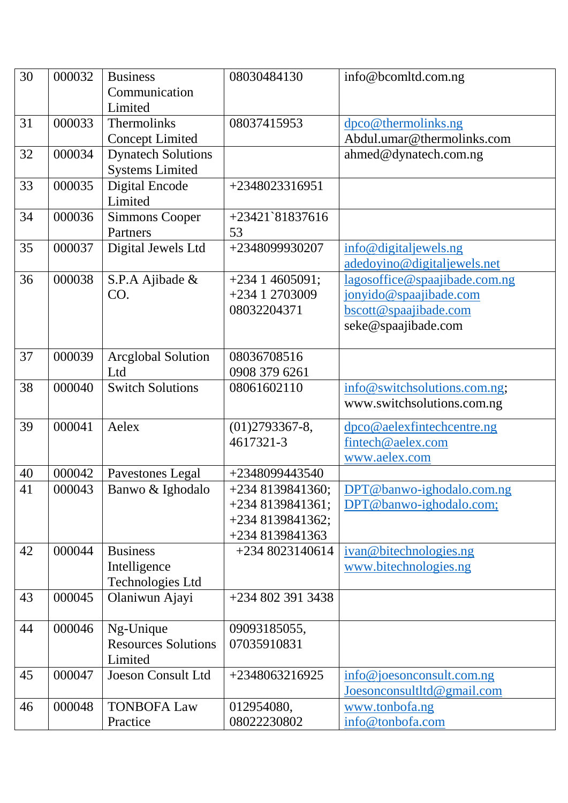| 30 | 000032 | <b>Business</b><br>Communication<br>Limited                | 08030484130                                                                    | info@bcomltd.com.ng                                                                                     |
|----|--------|------------------------------------------------------------|--------------------------------------------------------------------------------|---------------------------------------------------------------------------------------------------------|
| 31 | 000033 | Thermolinks<br><b>Concept Limited</b>                      | 08037415953                                                                    | dpco@thermolinks.ng<br>Abdul.umar@thermolinks.com                                                       |
| 32 | 000034 | <b>Dynatech Solutions</b><br><b>Systems Limited</b>        |                                                                                | ahmed@dynatech.com.ng                                                                                   |
| 33 | 000035 | Digital Encode<br>Limited                                  | +2348023316951                                                                 |                                                                                                         |
| 34 | 000036 | <b>Simmons Cooper</b><br>Partners                          | $+23421$ `81837616<br>53                                                       |                                                                                                         |
| 35 | 000037 | Digital Jewels Ltd                                         | +2348099930207                                                                 | info@digitaljewels.ng<br>adedoyino@digitaljewels.net                                                    |
| 36 | 000038 | S.P.A Ajibade &<br>CO.                                     | $+23414605091;$<br>+234 1 2703009<br>08032204371                               | lagosoffice@spaajibade.com.ng<br>jonyido@spaajibade.com<br>bscott@spaajibade.com<br>seke@spaajibade.com |
| 37 | 000039 | <b>Arcglobal Solution</b><br>Ltd                           | 08036708516<br>0908 379 6261                                                   |                                                                                                         |
| 38 | 000040 | <b>Switch Solutions</b>                                    | 08061602110                                                                    | info@switchsolutions.com.ng;<br>www.switchsolutions.com.ng                                              |
| 39 | 000041 | Aelex                                                      | $(01)$ 2793367-8,<br>4617321-3                                                 | dpco@aelexfintechcentre.ng<br>fintech@aelex.com<br>www.aelex.com                                        |
| 40 | 000042 | Pavestones Legal                                           | +2348099443540                                                                 |                                                                                                         |
| 41 | 000043 | Banwo & Ighodalo                                           | $+2348139841360;$<br>$+2348139841361;$<br>$+2348139841362;$<br>+234 8139841363 | DPT@banwo-ighodalo.com.ng<br>DPT@banwo-ighodalo.com;                                                    |
| 42 | 000044 | <b>Business</b><br>Intelligence<br><b>Technologies Ltd</b> | $+2348023140614$                                                               | ivan@bitechnologies.ng<br>www.bitechnologies.ng                                                         |
| 43 | 000045 | Olaniwun Ajayi                                             | +234 802 391 3438                                                              |                                                                                                         |
| 44 | 000046 | Ng-Unique<br><b>Resources Solutions</b><br>Limited         | 09093185055,<br>07035910831                                                    |                                                                                                         |
| 45 | 000047 | <b>Joeson Consult Ltd</b>                                  | $+2348063216925$                                                               | info@joesonconstult.com.ng<br>Joesonconsultltd@gmail.com                                                |
| 46 | 000048 | <b>TONBOFA Law</b><br>Practice                             | 012954080,<br>08022230802                                                      | www.tonbofa.ng<br>info@tonbofa.com                                                                      |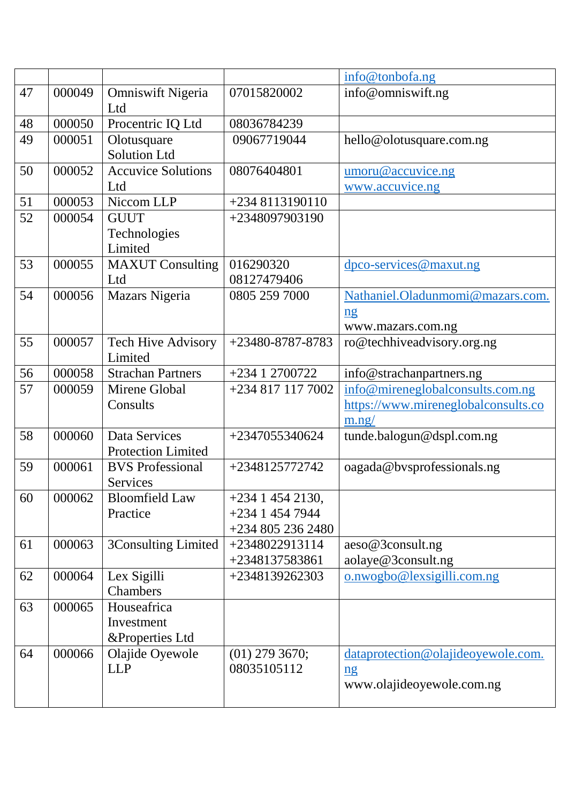|    |        |                           |                   | info@tonbofa.ng                     |
|----|--------|---------------------------|-------------------|-------------------------------------|
| 47 | 000049 | <b>Omniswift Nigeria</b>  | 07015820002       | info@omniswift.ng                   |
|    |        | Ltd                       |                   |                                     |
| 48 | 000050 | Procentric IQ Ltd         | 08036784239       |                                     |
| 49 | 000051 | Olotusquare               | 09067719044       | hello@olotusquare.com.ng            |
|    |        | <b>Solution Ltd</b>       |                   |                                     |
| 50 | 000052 | <b>Accuvice Solutions</b> | 08076404801       | umoru@accuvice.ng                   |
|    |        | Ltd                       |                   | www.accuvice.ng                     |
| 51 | 000053 | Niccom LLP                | +234 8113190110   |                                     |
| 52 | 000054 | <b>GUUT</b>               | +2348097903190    |                                     |
|    |        | Technologies              |                   |                                     |
|    |        | Limited                   |                   |                                     |
| 53 | 000055 | <b>MAXUT</b> Consulting   | 016290320         | dpco-services@maxut.ng              |
|    |        | Ltd                       | 08127479406       |                                     |
| 54 | 000056 | Mazars Nigeria            | 0805 259 7000     | Nathaniel.Oladunmomi@mazars.com.    |
|    |        |                           |                   | n <b>g</b>                          |
|    |        |                           |                   | www.mazars.com.ng                   |
| 55 | 000057 | <b>Tech Hive Advisory</b> | +23480-8787-8783  | ro@techhiveadvisory.org.ng          |
|    |        | Limited                   |                   |                                     |
| 56 | 000058 | <b>Strachan Partners</b>  | +234 1 2700722    | info@strachanpartners.ng            |
| 57 | 000059 | Mirene Global             | +234 817 117 7002 | info@mireneglobalconsults.com.ng    |
|    |        | Consults                  |                   | https://www.mireneglobalconsults.co |
|    |        |                           |                   | m.ng/                               |
| 58 | 000060 | Data Services             | +2347055340624    | tunde.balogun@dspl.com.ng           |
|    |        | <b>Protection Limited</b> |                   |                                     |
| 59 | 000061 | <b>BVS</b> Professional   | +2348125772742    | oagada@bvsprofessionals.ng          |
|    |        | Services                  |                   |                                     |
| 60 | 000062 | <b>Bloomfield Law</b>     | $+23414542130,$   |                                     |
|    |        | Practice                  | $+23414547944$    |                                     |
|    |        |                           | $+2348052362480$  |                                     |
| 61 | 000063 | 3Consulting Limited       | $+2348022913114$  | aeso@3consult.ng                    |
|    |        |                           | +2348137583861    | aolaye@3consult.ng                  |
| 62 | 000064 | Lex Sigilli               | +2348139262303    | $o$ .nwogbo@lexsigilli.com.ng       |
|    |        | Chambers                  |                   |                                     |
| 63 | 000065 | Houseafrica               |                   |                                     |
|    |        | Investment                |                   |                                     |
|    |        | &Properties Ltd           |                   |                                     |
| 64 | 000066 | Olajide Oyewole           | $(01)$ 279 3670;  | dataprotection@olajideoyewole.com.  |
|    |        | <b>LLP</b>                | 08035105112       | n <b>g</b>                          |
|    |        |                           |                   | www.olajideoyewole.com.ng           |
|    |        |                           |                   |                                     |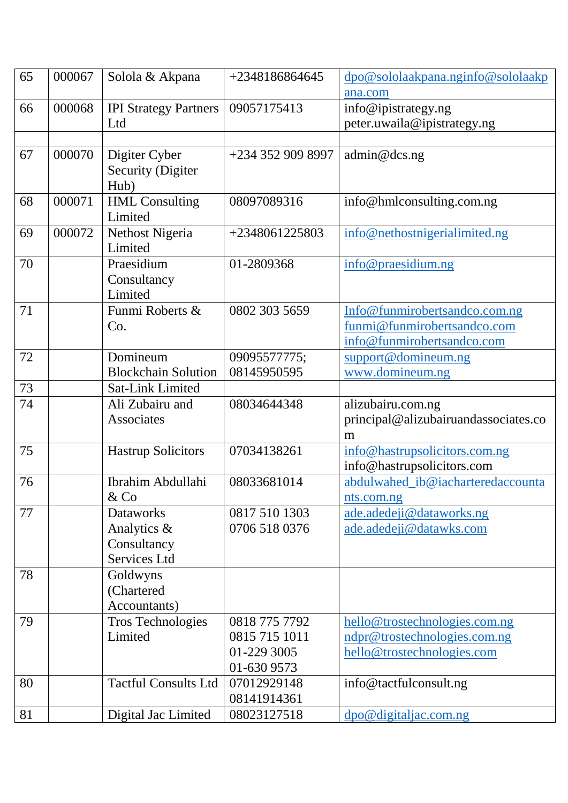| 65 | 000067 | Solola & Akpana              | +2348186864645    | dpo@sololaakpana.nginfo@sololaakp                             |
|----|--------|------------------------------|-------------------|---------------------------------------------------------------|
|    |        |                              |                   | ana.com                                                       |
| 66 | 000068 | <b>IPI Strategy Partners</b> | 09057175413       | info@ipistrategy.ng                                           |
|    |        | Ltd                          |                   | peter.uwaila@ipistrategy.ng                                   |
|    |        |                              |                   |                                                               |
| 67 | 000070 | Digiter Cyber                | +234 352 909 8997 | admin@dcs.ng                                                  |
|    |        | <b>Security (Digiter</b>     |                   |                                                               |
|    |        | Hub)                         |                   |                                                               |
| 68 | 000071 | <b>HML</b> Consulting        | 08097089316       | info@hmlconsulting.com.ng                                     |
|    |        | Limited                      |                   |                                                               |
| 69 | 000072 | Nethost Nigeria              | +2348061225803    | info@nethostnigerialimited.ng                                 |
|    |        | Limited                      |                   |                                                               |
| 70 |        | Praesidium                   | 01-2809368        | info@praesidium.ng                                            |
|    |        | Consultancy                  |                   |                                                               |
|    |        | Limited                      |                   |                                                               |
| 71 |        | Funmi Roberts &              | 0802 303 5659     | Info@funmirobertsandco.com.ng                                 |
|    |        | Co.                          |                   | funmi@funmirobertsandco.com                                   |
|    |        |                              |                   | info@funmirobertsandco.com                                    |
| 72 |        | Domineum                     | 09095577775;      | support@domineum.ng                                           |
|    |        | <b>Blockchain Solution</b>   | 08145950595       | www.domineum.ng                                               |
| 73 |        | <b>Sat-Link Limited</b>      |                   |                                                               |
| 74 |        | Ali Zubairu and              | 08034644348       | alizubairu.com.ng                                             |
|    |        | Associates                   |                   | principal@alizubairuandassociates.co                          |
|    |        |                              |                   | m                                                             |
| 75 |        | <b>Hastrup Solicitors</b>    | 07034138261       | info@hastrupsolicitors.com.ng                                 |
|    |        |                              |                   | info@hastrupsolicitors.com                                    |
| 76 |        | Ibrahim Abdullahi            | 08033681014       | abdulwahed_ib@iacharteredaccounta                             |
|    |        | $&$ Co                       |                   | nts.com.ng                                                    |
| 77 |        | <b>Dataworks</b>             | 0817 510 1303     | ade.adedeji@dataworks.ng                                      |
|    |        | Analytics &                  | 0706 518 0376     | ade.adedeji@datawks.com                                       |
|    |        | Consultancy                  |                   |                                                               |
|    |        | Services Ltd                 |                   |                                                               |
| 78 |        | Goldwyns                     |                   |                                                               |
|    |        | (Chartered                   |                   |                                                               |
|    |        | Accountants)                 |                   |                                                               |
| 79 |        | <b>Tros Technologies</b>     | 0818 775 7792     |                                                               |
|    |        | Limited                      | 0815 715 1011     | hello@trostechnologies.com.ng<br>ndpr@trostechnologies.com.ng |
|    |        |                              | 01-229 3005       |                                                               |
|    |        |                              |                   | hello@trostechnologies.com                                    |
|    |        |                              | 01-630 9573       |                                                               |
| 80 |        | <b>Tactful Consults Ltd</b>  | 07012929148       | info@tactfulconsult.ng                                        |
|    |        |                              | 08141914361       |                                                               |
| 81 |        | Digital Jac Limited          | 08023127518       | dpo@digitaljac.com.ng                                         |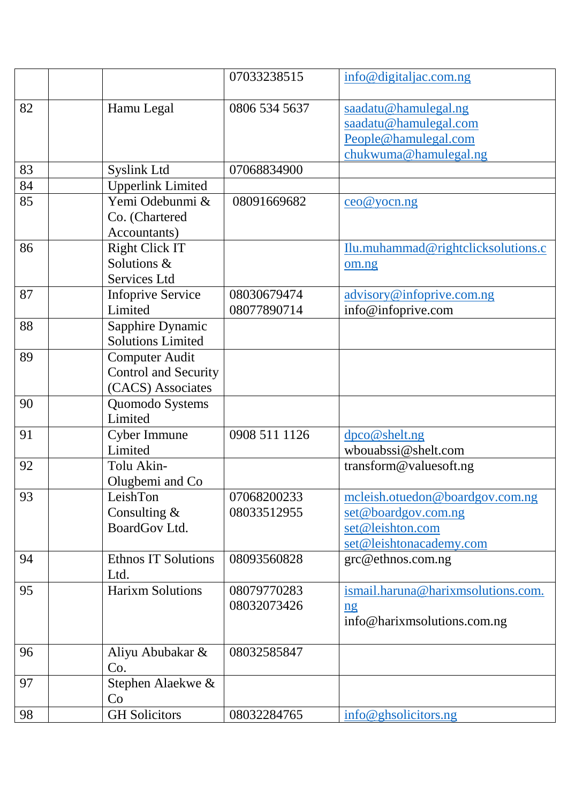|    |                            | 07033238515   | info@digitaljac.com.ng             |
|----|----------------------------|---------------|------------------------------------|
| 82 | Hamu Legal                 | 0806 534 5637 | saadatu@hamulegal.ng               |
|    |                            |               | saadatu@hamulegal.com              |
|    |                            |               | People@hamulegal.com               |
|    |                            |               | chukwuma@hamulegal.ng              |
| 83 | <b>Syslink Ltd</b>         | 07068834900   |                                    |
| 84 | <b>Upperlink Limited</b>   |               |                                    |
| 85 | Yemi Odebunmi &            | 08091669682   | $\cos \omega$ youn.ng              |
|    | Co. (Chartered             |               |                                    |
|    | Accountants)               |               |                                    |
| 86 | <b>Right Click IT</b>      |               | Ilu.muhammad@rightclicksolutions.c |
|    | Solutions &                |               | om.ng                              |
|    | Services Ltd               |               |                                    |
| 87 | <b>Infoprive Service</b>   | 08030679474   | advisory@infoprive.com.ng          |
|    | Limited                    | 08077890714   | info@infoprive.com                 |
| 88 | Sapphire Dynamic           |               |                                    |
|    | <b>Solutions Limited</b>   |               |                                    |
| 89 | <b>Computer Audit</b>      |               |                                    |
|    | Control and Security       |               |                                    |
|    | (CACS) Associates          |               |                                    |
| 90 | Quomodo Systems            |               |                                    |
|    | Limited                    |               |                                    |
| 91 | Cyber Immune               | 0908 511 1126 | dpco@shelt.ng                      |
|    | Limited                    |               | wbouabssi@shelt.com                |
| 92 | Tolu Akin-                 |               | transform@valuesoft.ng             |
|    | Olugbemi and Co            |               |                                    |
| 93 | LeishTon                   | 07068200233   | mcleish.otuedon@boardgov.com.ng    |
|    | Consulting $&$             | 08033512955   | set@boardgov.com.ng                |
|    | BoardGov Ltd.              |               | set@leishton.com                   |
|    |                            |               | set@leishtonacademy.com            |
| 94 | <b>Ethnos IT Solutions</b> | 08093560828   | grc@ethnos.com.ng                  |
|    | Ltd.                       |               |                                    |
| 95 | <b>Harixm Solutions</b>    | 08079770283   | ismail.haruna@harixmsolutions.com. |
|    |                            | 08032073426   | $\overline{\mathbf{n}}\mathbf{g}$  |
|    |                            |               | info@harixmsolutions.com.ng        |
| 96 | Aliyu Abubakar &           | 08032585847   |                                    |
|    | Co.                        |               |                                    |
| 97 | Stephen Alaekwe &          |               |                                    |
|    | Co                         |               |                                    |
| 98 | <b>GH</b> Solicitors       | 08032284765   | info@ghsolicitors.ng               |